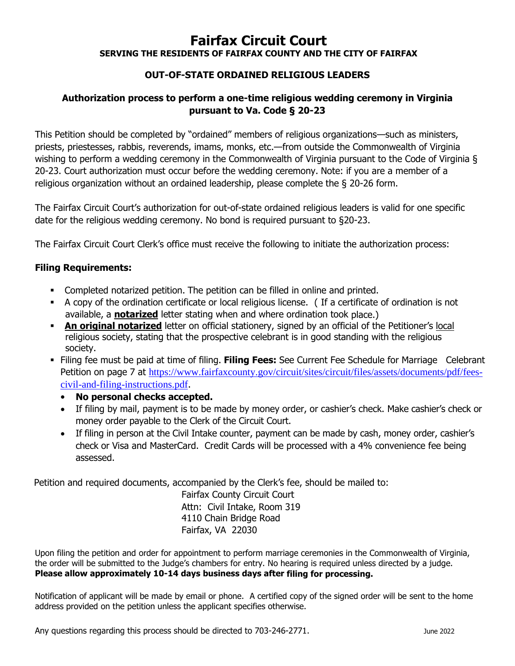# **Fairfax Circuit Court**

**SERVING THE RESIDENTS OF FAIRFAX COUNTY AND THE CITY OF FAIRFAX**

## **OUT-OF-STATE ORDAINED RELIGIOUS LEADERS**

### **Authorization process to perform a one-time religious wedding ceremony in Virginia pursuant to Va. Code § 20-23**

This Petition should be completed by "ordained" members of religious organizations—such as ministers, priests, priestesses, rabbis, reverends, imams, monks, etc.—from outside the Commonwealth of Virginia wishing to perform a wedding ceremony in the Commonwealth of Virginia pursuant to the Code of Virginia § 20-23. Court authorization must occur before the wedding ceremony. Note: if you are a member of a religious organization without an ordained leadership, please complete the § 20-26 form.

The Fairfax Circuit Court's authorization for out-of-state ordained religious leaders is valid for one specific date for the religious wedding ceremony. No bond is required pursuant to §20-23.

The Fairfax Circuit Court Clerk's office must receive the following to initiate the authorization process:

#### **Filing Requirements:**

- Completed notarized petition. The petition can be filled in online and printed.
- A copy of the ordination certificate or local religious license. ( If a certificate of ordination is not available, a **notarized** letter stating when and where ordination took place.)
- **An original notarized** letter on official stationery, signed by an official of the Petitioner's local religious society, stating that the prospective celebrant is in good standing with the religious society.
- Filing fee must be paid at time of filing. **Filing Fees:** See Current Fee Schedule for Marriage Celebrant Petition on page 7 at https://www.fairfaxcounty.gov/circuit/sites/circuit/files/assets/documents/pdf/feescivil-and-filing-instructions.pdf.
	- **No personal checks accepted.**
	- If filing by mail, payment is to be made by money order, or cashier's check. Make cashier's check or money order payable to the Clerk of the Circuit Court.
	- If filing in person at the Civil Intake counter, payment can be made by cash, money order, cashier's check or Visa and MasterCard. Credit Cards will be processed with a 4% convenience fee being assessed.

Petition and required documents, accompanied by the Clerk's fee, should be mailed to:

Fairfax County Circuit Court Attn: Civil Intake, Room 319 4110 Chain Bridge Road Fairfax, VA 22030

Upon filing the petition and order for appointment to perform marriage ceremonies in the Commonwealth of Virginia, the order will be submitted to the Judge's chambers for entry. No hearing is required unless directed by a judge. **Please allow approximately 10-14 days business days after filing for processing.**

Notification of applicant will be made by email or phone. A certified copy of the signed order will be sent to the home address provided on the petition unless the applicant specifies otherwise.